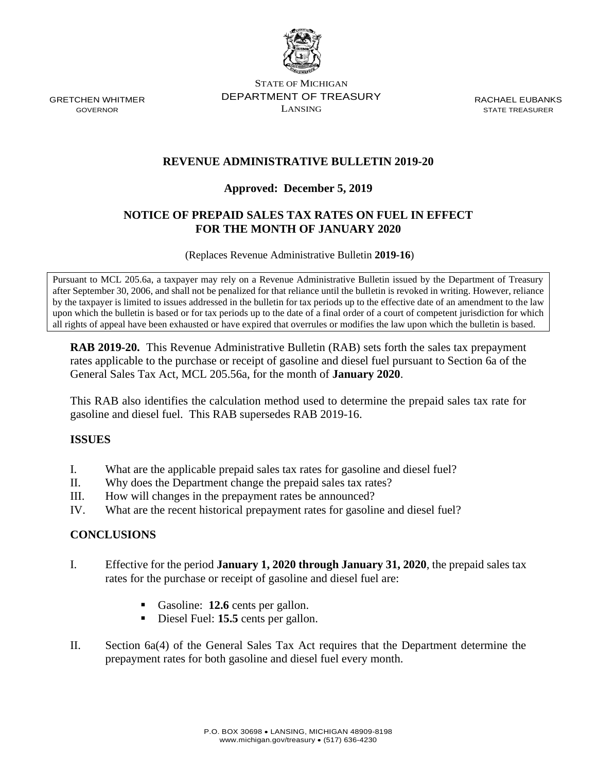

GRETCHEN WHITMER GOVERNOR

STATE OF MICHIGAN DEPARTMENT OF TREASURY LANSING

RACHAEL EUBANKS STATE TREASURER

# **REVENUE ADMINISTRATIVE BULLETIN 2019-20**

### **Approved: December 5, 2019**

### **NOTICE OF PREPAID SALES TAX RATES ON FUEL IN EFFECT FOR THE MONTH OF JANUARY 2020**

(Replaces Revenue Administrative Bulletin **2019-16**)

Pursuant to MCL 205.6a, a taxpayer may rely on a Revenue Administrative Bulletin issued by the Department of Treasury after September 30, 2006, and shall not be penalized for that reliance until the bulletin is revoked in writing. However, reliance by the taxpayer is limited to issues addressed in the bulletin for tax periods up to the effective date of an amendment to the law upon which the bulletin is based or for tax periods up to the date of a final order of a court of competent jurisdiction for which all rights of appeal have been exhausted or have expired that overrules or modifies the law upon which the bulletin is based.

**RAB 2019-20.** This Revenue Administrative Bulletin (RAB) sets forth the sales tax prepayment rates applicable to the purchase or receipt of gasoline and diesel fuel pursuant to Section 6a of the General Sales Tax Act, MCL 205.56a, for the month of **January 2020**.

This RAB also identifies the calculation method used to determine the prepaid sales tax rate for gasoline and diesel fuel. This RAB supersedes RAB 2019-16.

#### **ISSUES**

- I. What are the applicable prepaid sales tax rates for gasoline and diesel fuel?
- II. Why does the Department change the prepaid sales tax rates?
- III. How will changes in the prepayment rates be announced?
- IV. What are the recent historical prepayment rates for gasoline and diesel fuel?

#### **CONCLUSIONS**

- I. Effective for the period **January 1, 2020 through January 31, 2020**, the prepaid sales tax rates for the purchase or receipt of gasoline and diesel fuel are:
	- Gasoline: **12.6** cents per gallon.
	- Diesel Fuel: **15.5** cents per gallon.
- II. Section 6a(4) of the General Sales Tax Act requires that the Department determine the prepayment rates for both gasoline and diesel fuel every month.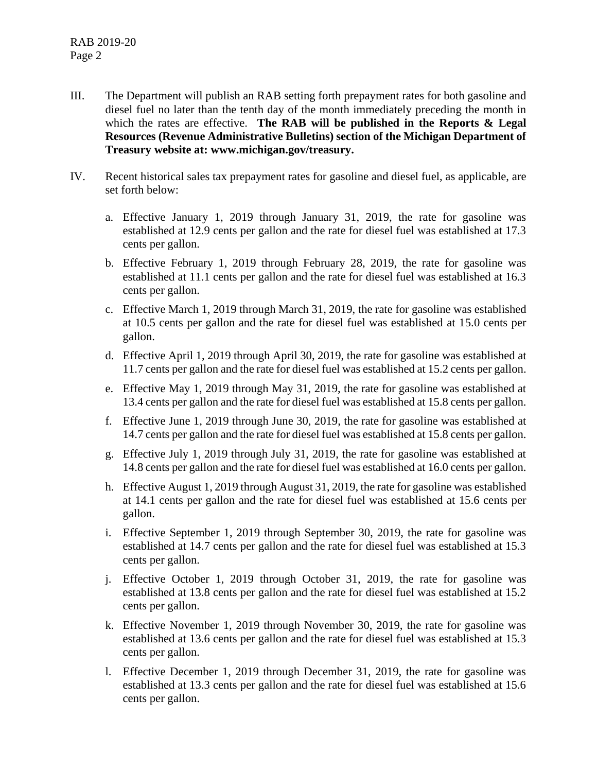- III. The Department will publish an RAB setting forth prepayment rates for both gasoline and diesel fuel no later than the tenth day of the month immediately preceding the month in which the rates are effective. **The RAB will be published in the Reports & Legal Resources (Revenue Administrative Bulletins) section of the Michigan Department of Treasury website at: www.michigan.gov/treasury.**
- IV. Recent historical sales tax prepayment rates for gasoline and diesel fuel, as applicable, are set forth below:
	- a. Effective January 1, 2019 through January 31, 2019, the rate for gasoline was established at 12.9 cents per gallon and the rate for diesel fuel was established at 17.3 cents per gallon.
	- b. Effective February 1, 2019 through February 28, 2019, the rate for gasoline was established at 11.1 cents per gallon and the rate for diesel fuel was established at 16.3 cents per gallon.
	- c. Effective March 1, 2019 through March 31, 2019, the rate for gasoline was established at 10.5 cents per gallon and the rate for diesel fuel was established at 15.0 cents per gallon.
	- d. Effective April 1, 2019 through April 30, 2019, the rate for gasoline was established at 11.7 cents per gallon and the rate for diesel fuel was established at 15.2 cents per gallon.
	- e. Effective May 1, 2019 through May 31, 2019, the rate for gasoline was established at 13.4 cents per gallon and the rate for diesel fuel was established at 15.8 cents per gallon.
	- f. Effective June 1, 2019 through June 30, 2019, the rate for gasoline was established at 14.7 cents per gallon and the rate for diesel fuel was established at 15.8 cents per gallon.
	- g. Effective July 1, 2019 through July 31, 2019, the rate for gasoline was established at 14.8 cents per gallon and the rate for diesel fuel was established at 16.0 cents per gallon.
	- h. Effective August 1, 2019 through August 31, 2019, the rate for gasoline was established at 14.1 cents per gallon and the rate for diesel fuel was established at 15.6 cents per gallon.
	- i. Effective September 1, 2019 through September 30, 2019, the rate for gasoline was established at 14.7 cents per gallon and the rate for diesel fuel was established at 15.3 cents per gallon.
	- j. Effective October 1, 2019 through October 31, 2019, the rate for gasoline was established at 13.8 cents per gallon and the rate for diesel fuel was established at 15.2 cents per gallon.
	- k. Effective November 1, 2019 through November 30, 2019, the rate for gasoline was established at 13.6 cents per gallon and the rate for diesel fuel was established at 15.3 cents per gallon.
	- l. Effective December 1, 2019 through December 31, 2019, the rate for gasoline was established at 13.3 cents per gallon and the rate for diesel fuel was established at 15.6 cents per gallon.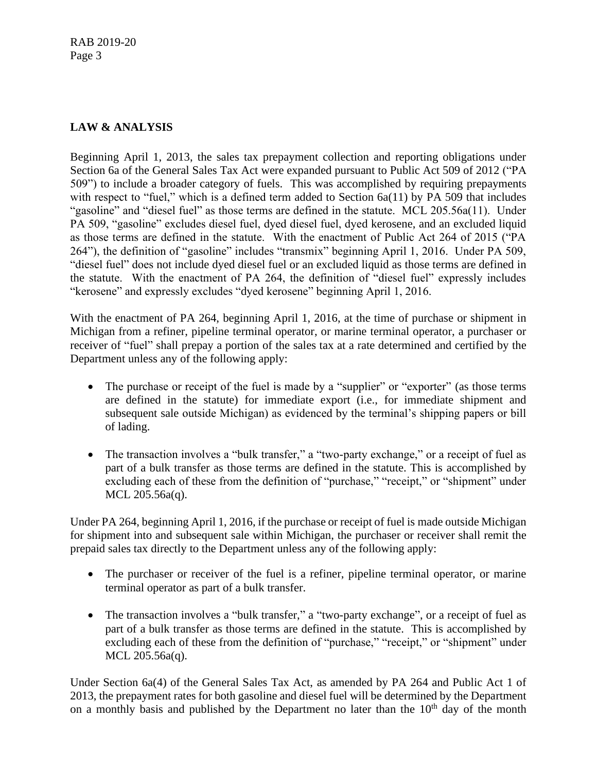# **LAW & ANALYSIS**

Beginning April 1, 2013, the sales tax prepayment collection and reporting obligations under Section 6a of the General Sales Tax Act were expanded pursuant to Public Act 509 of 2012 ("PA 509") to include a broader category of fuels. This was accomplished by requiring prepayments with respect to "fuel," which is a defined term added to Section 6a(11) by PA 509 that includes "gasoline" and "diesel fuel" as those terms are defined in the statute. MCL 205.56a(11). Under PA 509, "gasoline" excludes diesel fuel, dyed diesel fuel, dyed kerosene, and an excluded liquid as those terms are defined in the statute. With the enactment of Public Act 264 of 2015 ("PA 264"), the definition of "gasoline" includes "transmix" beginning April 1, 2016. Under PA 509, "diesel fuel" does not include dyed diesel fuel or an excluded liquid as those terms are defined in the statute. With the enactment of PA 264, the definition of "diesel fuel" expressly includes "kerosene" and expressly excludes "dyed kerosene" beginning April 1, 2016.

With the enactment of PA 264, beginning April 1, 2016, at the time of purchase or shipment in Michigan from a refiner, pipeline terminal operator, or marine terminal operator, a purchaser or receiver of "fuel" shall prepay a portion of the sales tax at a rate determined and certified by the Department unless any of the following apply:

- The purchase or receipt of the fuel is made by a "supplier" or "exporter" (as those terms are defined in the statute) for immediate export (i.e., for immediate shipment and subsequent sale outside Michigan) as evidenced by the terminal's shipping papers or bill of lading.
- The transaction involves a "bulk transfer," a "two-party exchange," or a receipt of fuel as part of a bulk transfer as those terms are defined in the statute. This is accomplished by excluding each of these from the definition of "purchase," "receipt," or "shipment" under MCL 205.56a(q).

Under PA 264, beginning April 1, 2016, if the purchase or receipt of fuel is made outside Michigan for shipment into and subsequent sale within Michigan, the purchaser or receiver shall remit the prepaid sales tax directly to the Department unless any of the following apply:

- The purchaser or receiver of the fuel is a refiner, pipeline terminal operator, or marine terminal operator as part of a bulk transfer.
- The transaction involves a "bulk transfer," a "two-party exchange", or a receipt of fuel as part of a bulk transfer as those terms are defined in the statute. This is accomplished by excluding each of these from the definition of "purchase," "receipt," or "shipment" under MCL 205.56a(q).

Under Section 6a(4) of the General Sales Tax Act, as amended by PA 264 and Public Act 1 of 2013, the prepayment rates for both gasoline and diesel fuel will be determined by the Department on a monthly basis and published by the Department no later than the  $10<sup>th</sup>$  day of the month